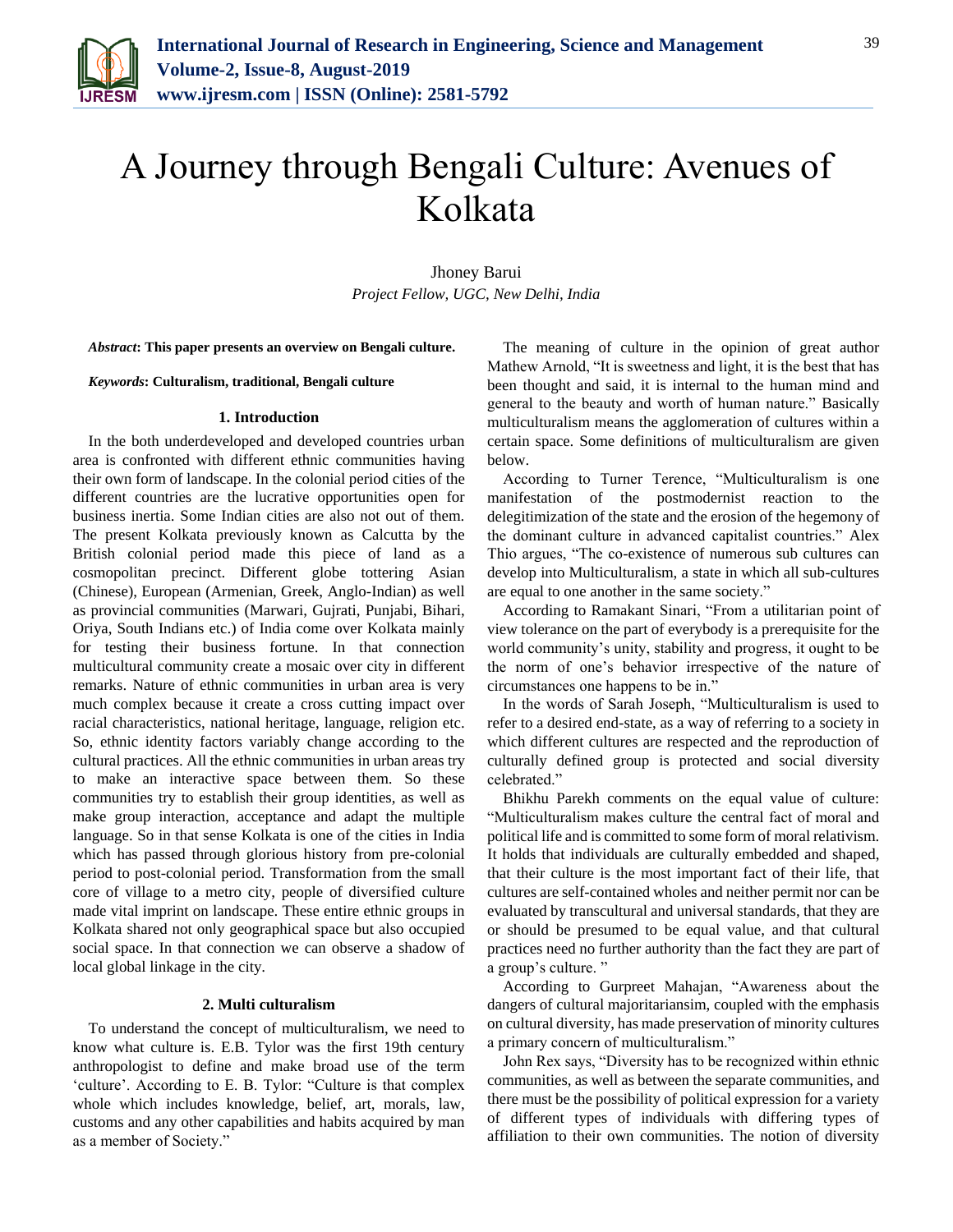

# A Journey through Bengali Culture: Avenues of Kolkata

Jhoney Barui *Project Fellow, UGC, New Delhi, India*

*Abstract***: This paper presents an overview on Bengali culture.**

*Keywords***: Culturalism, traditional, Bengali culture**

#### **1. Introduction**

In the both underdeveloped and developed countries urban area is confronted with different ethnic communities having their own form of landscape. In the colonial period cities of the different countries are the lucrative opportunities open for business inertia. Some Indian cities are also not out of them. The present Kolkata previously known as Calcutta by the British colonial period made this piece of land as a cosmopolitan precinct. Different globe tottering Asian (Chinese), European (Armenian, Greek, Anglo-Indian) as well as provincial communities (Marwari, Gujrati, Punjabi, Bihari, Oriya, South Indians etc.) of India come over Kolkata mainly for testing their business fortune. In that connection multicultural community create a mosaic over city in different remarks. Nature of ethnic communities in urban area is very much complex because it create a cross cutting impact over racial characteristics, national heritage, language, religion etc. So, ethnic identity factors variably change according to the cultural practices. All the ethnic communities in urban areas try to make an interactive space between them. So these communities try to establish their group identities, as well as make group interaction, acceptance and adapt the multiple language. So in that sense Kolkata is one of the cities in India which has passed through glorious history from pre-colonial period to post-colonial period. Transformation from the small core of village to a metro city, people of diversified culture made vital imprint on landscape. These entire ethnic groups in Kolkata shared not only geographical space but also occupied social space. In that connection we can observe a shadow of local global linkage in the city.

# **2. Multi culturalism**

To understand the concept of multiculturalism, we need to know what culture is. E.B. Tylor was the first 19th century anthropologist to define and make broad use of the term 'culture'. According to E. B. Tylor: "Culture is that complex whole which includes knowledge, belief, art, morals, law, customs and any other capabilities and habits acquired by man as a member of Society."

The meaning of culture in the opinion of great author Mathew Arnold, "It is sweetness and light, it is the best that has been thought and said, it is internal to the human mind and general to the beauty and worth of human nature." Basically multiculturalism means the agglomeration of cultures within a certain space. Some definitions of multiculturalism are given below.

According to Turner Terence, "Multiculturalism is one manifestation of the postmodernist reaction to the delegitimization of the state and the erosion of the hegemony of the dominant culture in advanced capitalist countries." Alex Thio argues, "The co-existence of numerous sub cultures can develop into Multiculturalism, a state in which all sub-cultures are equal to one another in the same society."

According to Ramakant Sinari, "From a utilitarian point of view tolerance on the part of everybody is a prerequisite for the world community's unity, stability and progress, it ought to be the norm of one's behavior irrespective of the nature of circumstances one happens to be in."

In the words of Sarah Joseph, "Multiculturalism is used to refer to a desired end-state, as a way of referring to a society in which different cultures are respected and the reproduction of culturally defined group is protected and social diversity celebrated."

Bhikhu Parekh comments on the equal value of culture: "Multiculturalism makes culture the central fact of moral and political life and is committed to some form of moral relativism. It holds that individuals are culturally embedded and shaped, that their culture is the most important fact of their life, that cultures are self-contained wholes and neither permit nor can be evaluated by transcultural and universal standards, that they are or should be presumed to be equal value, and that cultural practices need no further authority than the fact they are part of a group's culture. "

According to Gurpreet Mahajan, "Awareness about the dangers of cultural majoritariansim, coupled with the emphasis on cultural diversity, has made preservation of minority cultures a primary concern of multiculturalism."

John Rex says, "Diversity has to be recognized within ethnic communities, as well as between the separate communities, and there must be the possibility of political expression for a variety of different types of individuals with differing types of affiliation to their own communities. The notion of diversity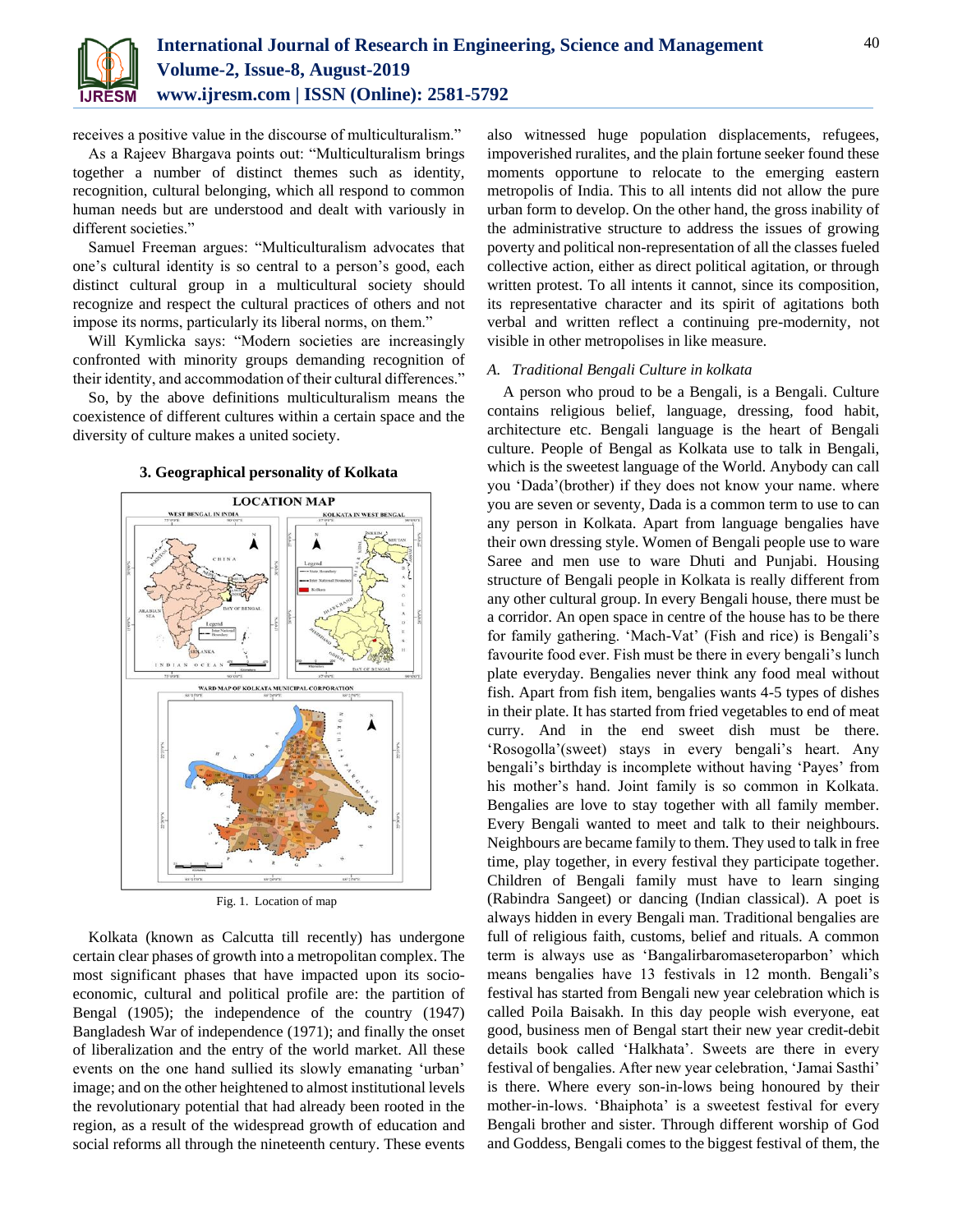

receives a positive value in the discourse of multiculturalism."

As a Rajeev Bhargava points out: "Multiculturalism brings together a number of distinct themes such as identity, recognition, cultural belonging, which all respond to common human needs but are understood and dealt with variously in different societies."

Samuel Freeman argues: "Multiculturalism advocates that one's cultural identity is so central to a person's good, each distinct cultural group in a multicultural society should recognize and respect the cultural practices of others and not impose its norms, particularly its liberal norms, on them."

Will Kymlicka says: "Modern societies are increasingly confronted with minority groups demanding recognition of their identity, and accommodation of their cultural differences."

So, by the above definitions multiculturalism means the coexistence of different cultures within a certain space and the diversity of culture makes a united society.



### **3. Geographical personality of Kolkata**

Fig. 1. Location of map

Kolkata (known as Calcutta till recently) has undergone certain clear phases of growth into a metropolitan complex. The most significant phases that have impacted upon its socioeconomic, cultural and political profile are: the partition of Bengal (1905); the independence of the country (1947) Bangladesh War of independence (1971); and finally the onset of liberalization and the entry of the world market. All these events on the one hand sullied its slowly emanating 'urban' image; and on the other heightened to almost institutional levels the revolutionary potential that had already been rooted in the region, as a result of the widespread growth of education and social reforms all through the nineteenth century. These events

also witnessed huge population displacements, refugees, impoverished ruralites, and the plain fortune seeker found these moments opportune to relocate to the emerging eastern metropolis of India. This to all intents did not allow the pure urban form to develop. On the other hand, the gross inability of the administrative structure to address the issues of growing poverty and political non-representation of all the classes fueled collective action, either as direct political agitation, or through written protest. To all intents it cannot, since its composition, its representative character and its spirit of agitations both verbal and written reflect a continuing pre-modernity, not visible in other metropolises in like measure.

#### *A. Traditional Bengali Culture in kolkata*

A person who proud to be a Bengali, is a Bengali. Culture contains religious belief, language, dressing, food habit, architecture etc. Bengali language is the heart of Bengali culture. People of Bengal as Kolkata use to talk in Bengali, which is the sweetest language of the World. Anybody can call you 'Dada'(brother) if they does not know your name. where you are seven or seventy, Dada is a common term to use to can any person in Kolkata. Apart from language bengalies have their own dressing style. Women of Bengali people use to ware Saree and men use to ware Dhuti and Punjabi. Housing structure of Bengali people in Kolkata is really different from any other cultural group. In every Bengali house, there must be a corridor. An open space in centre of the house has to be there for family gathering. 'Mach-Vat' (Fish and rice) is Bengali's favourite food ever. Fish must be there in every bengali's lunch plate everyday. Bengalies never think any food meal without fish. Apart from fish item, bengalies wants 4-5 types of dishes in their plate. It has started from fried vegetables to end of meat curry. And in the end sweet dish must be there. 'Rosogolla'(sweet) stays in every bengali's heart. Any bengali's birthday is incomplete without having 'Payes' from his mother's hand. Joint family is so common in Kolkata. Bengalies are love to stay together with all family member. Every Bengali wanted to meet and talk to their neighbours. Neighbours are became family to them. They used to talk in free time, play together, in every festival they participate together. Children of Bengali family must have to learn singing (Rabindra Sangeet) or dancing (Indian classical). A poet is always hidden in every Bengali man. Traditional bengalies are full of religious faith, customs, belief and rituals. A common term is always use as 'Bangalirbaromaseteroparbon' which means bengalies have 13 festivals in 12 month. Bengali's festival has started from Bengali new year celebration which is called Poila Baisakh. In this day people wish everyone, eat good, business men of Bengal start their new year credit-debit details book called 'Halkhata'. Sweets are there in every festival of bengalies. After new year celebration, 'Jamai Sasthi' is there. Where every son-in-lows being honoured by their mother-in-lows. 'Bhaiphota' is a sweetest festival for every Bengali brother and sister. Through different worship of God and Goddess, Bengali comes to the biggest festival of them, the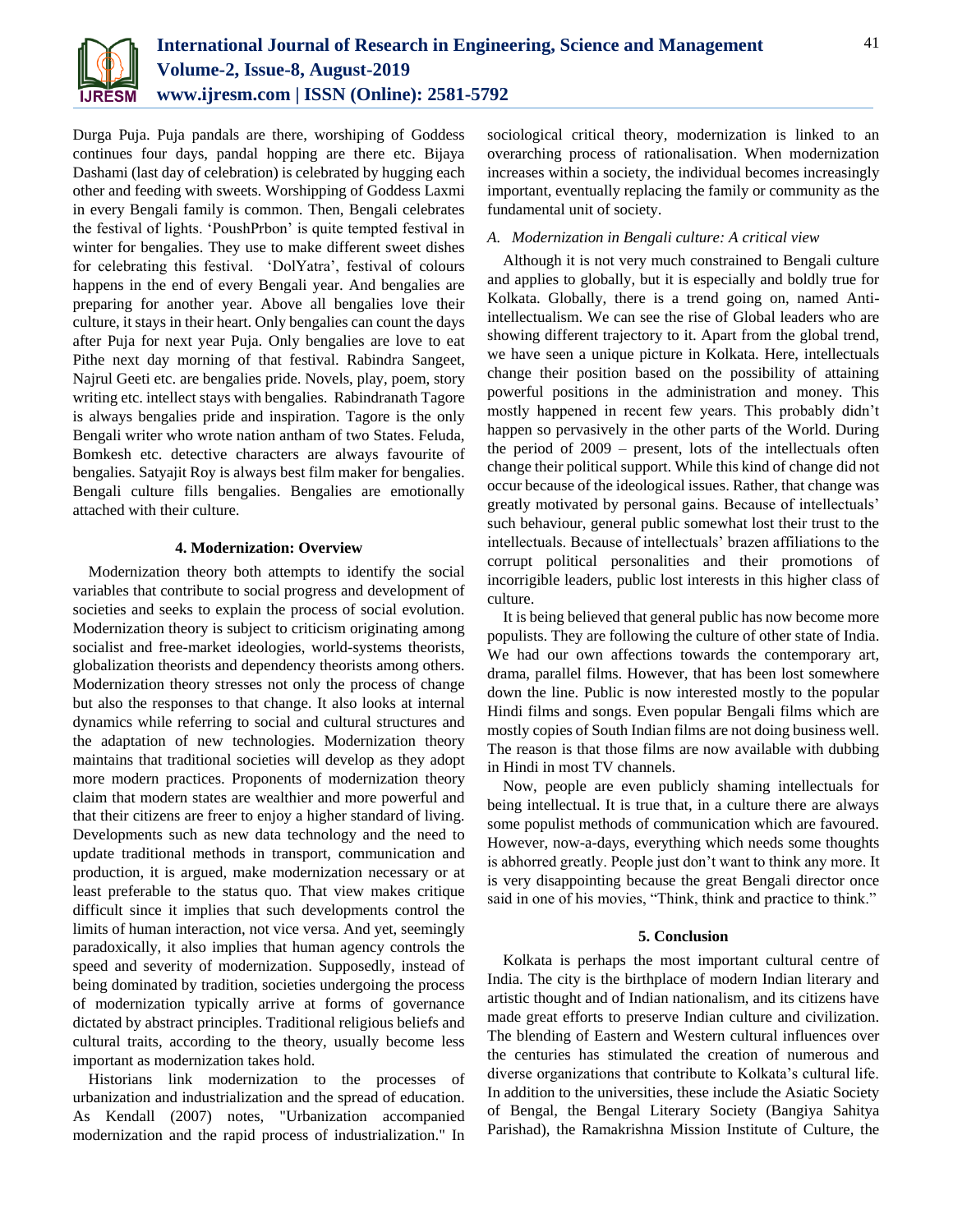

Durga Puja. Puja pandals are there, worshiping of Goddess continues four days, pandal hopping are there etc. Bijaya Dashami (last day of celebration) is celebrated by hugging each other and feeding with sweets. Worshipping of Goddess Laxmi in every Bengali family is common. Then, Bengali celebrates the festival of lights. 'PoushPrbon' is quite tempted festival in winter for bengalies. They use to make different sweet dishes for celebrating this festival. 'DolYatra', festival of colours happens in the end of every Bengali year. And bengalies are preparing for another year. Above all bengalies love their culture, it stays in their heart. Only bengalies can count the days after Puja for next year Puja. Only bengalies are love to eat Pithe next day morning of that festival. Rabindra Sangeet, Najrul Geeti etc. are bengalies pride. Novels, play, poem, story writing etc. intellect stays with bengalies. Rabindranath Tagore is always bengalies pride and inspiration. Tagore is the only Bengali writer who wrote nation antham of two States. Feluda, Bomkesh etc. detective characters are always favourite of bengalies. Satyajit Roy is always best film maker for bengalies. Bengali culture fills bengalies. Bengalies are emotionally attached with their culture.

# **4. Modernization: Overview**

Modernization theory both attempts to identify the social variables that contribute to social progress and development of societies and seeks to explain the process of social evolution. Modernization theory is subject to criticism originating among socialist and free-market ideologies, world-systems theorists, globalization theorists and dependency theorists among others. Modernization theory stresses not only the process of change but also the responses to that change. It also looks at internal dynamics while referring to social and cultural structures and the adaptation of new technologies. Modernization theory maintains that traditional societies will develop as they adopt more modern practices. Proponents of modernization theory claim that modern states are wealthier and more powerful and that their citizens are freer to enjoy a higher standard of living. Developments such as new data technology and the need to update traditional methods in transport, communication and production, it is argued, make modernization necessary or at least preferable to the status quo. That view makes critique difficult since it implies that such developments control the limits of human interaction, not vice versa. And yet, seemingly paradoxically, it also implies that human agency controls the speed and severity of modernization. Supposedly, instead of being dominated by tradition, societies undergoing the process of modernization typically arrive at forms of governance dictated by abstract principles. Traditional religious beliefs and cultural traits, according to the theory, usually become less important as modernization takes hold.

Historians link modernization to the processes of urbanization and industrialization and the spread of education. As Kendall (2007) notes, "Urbanization accompanied modernization and the rapid process of industrialization." In

sociological critical theory, modernization is linked to an overarching process of rationalisation. When modernization increases within a society, the individual becomes increasingly important, eventually replacing the family or community as the fundamental unit of society.

### *A. Modernization in Bengali culture: A critical view*

Although it is not very much constrained to Bengali culture and applies to globally, but it is especially and boldly true for Kolkata. Globally, there is a trend going on, named Antiintellectualism. We can see the rise of Global leaders who are showing different trajectory to it. Apart from the global trend, we have seen a unique picture in Kolkata. Here, intellectuals change their position based on the possibility of attaining powerful positions in the administration and money. This mostly happened in recent few years. This probably didn't happen so pervasively in the other parts of the World. During the period of 2009 – present, lots of the intellectuals often change their political support. While this kind of change did not occur because of the ideological issues. Rather, that change was greatly motivated by personal gains. Because of intellectuals' such behaviour, general public somewhat lost their trust to the intellectuals. Because of intellectuals' brazen affiliations to the corrupt political personalities and their promotions of incorrigible leaders, public lost interests in this higher class of culture.

It is being believed that general public has now become more populists. They are following the culture of other state of India. We had our own affections towards the contemporary art, drama, parallel films. However, that has been lost somewhere down the line. Public is now interested mostly to the popular Hindi films and songs. Even popular Bengali films which are mostly copies of South Indian films are not doing business well. The reason is that those films are now available with dubbing in Hindi in most TV channels.

Now, people are even publicly shaming intellectuals for being intellectual. It is true that, in a culture there are always some populist methods of communication which are favoured. However, now-a-days, everything which needs some thoughts is abhorred greatly. People just don't want to think any more. It is very disappointing because the great Bengali director once said in one of his movies, "Think, think and practice to think."

#### **5. Conclusion**

Kolkata is perhaps the most important cultural centre of India. The city is the birthplace of modern Indian literary and artistic thought and of Indian nationalism, and its citizens have made great efforts to preserve Indian culture and civilization. The blending of Eastern and Western cultural influences over the centuries has stimulated the creation of numerous and diverse organizations that contribute to Kolkata's cultural life. In addition to the universities, these include the Asiatic Society of Bengal, the Bengal Literary Society (Bangiya Sahitya Parishad), the Ramakrishna Mission Institute of Culture, the